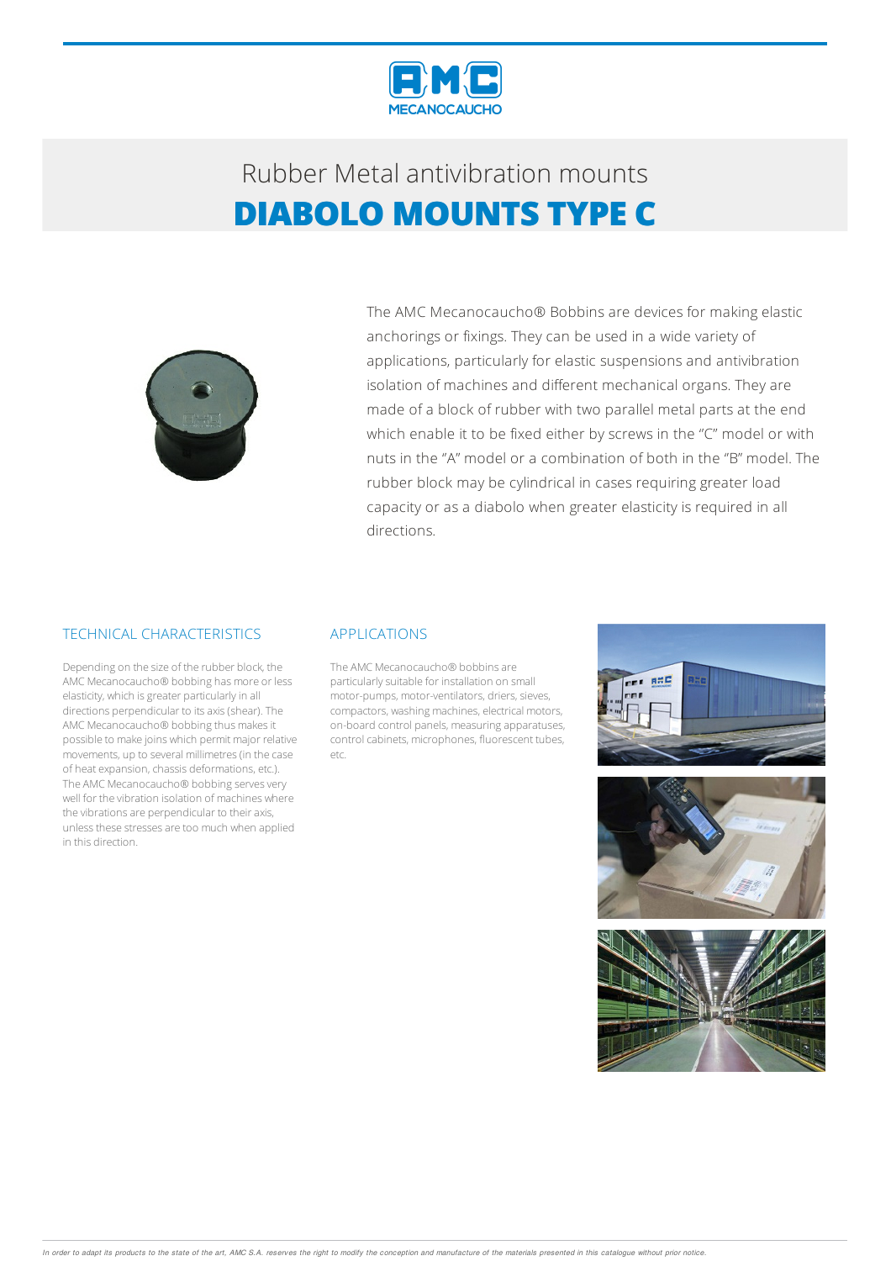

## Rubber Metalantivibration mounts **DIABOLO MOUNTS TYPE C**



The AMC Mecanocaucho® Bobbins are devices for making elastic anchorings or fixings. They can be used in a wide variety of applications, particularly for elastic suspensions and antivibration isolation of machines and different mechanical organs. They are made of a block of rubber with two parallel metal parts at the end which enable it to be fixed either by screws in the "C" model or with nuts in the ''A" model or a combination of both in the ''B" model. The rubber block may be cylindrical in cases requiring greater load capacity or as a diabolo when greater elasticity is required in all directions.

#### TECHNICAL CHARACTERISTICS

Depending on the size of the rubber block, the AMC Mecanocaucho® bobbing has more or less elasticity, which is greater particularly in all directions perpendicular to itsaxis(shear).The AMC Mecanocaucho® bobbing thus makes it possible to make joins which permit major relative movements, up to several millimetres(in the case of heat expansion, chassis deformations, etc.). The AMC Mecanocaucho® bobbing serves very well for the vibration isolation of machines where the vibrations are perpendicular to their axis, unless these stresses are too much when applied in this direction.

#### APPLICATIONS

The AMC Mecanocaucho® bobbins are particularly suitable for installation on small motor-pumps, motor-ventilators, driers, sieves, compactors, washing machines, electrical motors, on-board control panels, measuringapparatuses, control cabinets, microphones, fluorescent tubes, etc.





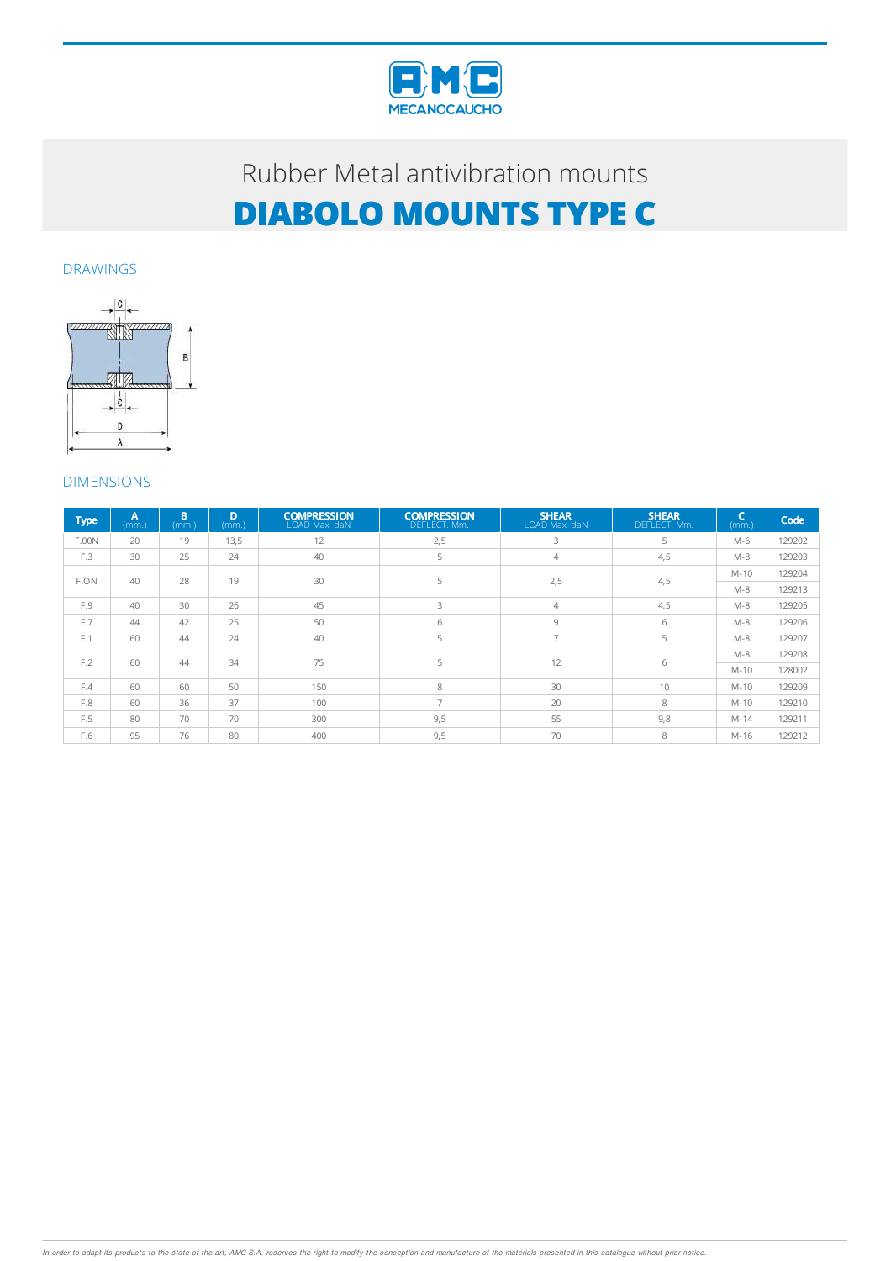

# Rubber Metal antivibration mounts **DIABOLO MOUNTS TYPE C**

#### DRAWINGS



### DIMENSIONS

| <b>Type</b> | A<br>(mm.) | B.<br>(mm.) | D<br>(mm.) | <b>COMPRESSION</b><br>LOAD Max. daN | <b>COMPRESSION</b><br>DEFLECT. Mm. | <b>SHEAR</b><br>LOAD Max, daN | <b>SHEAR</b><br>DEFLECT. Mm. | ÷<br>(mm.) | Code   |
|-------------|------------|-------------|------------|-------------------------------------|------------------------------------|-------------------------------|------------------------------|------------|--------|
| F.00N       | 20         | 19          | 13,5       | 12                                  | 2,5                                | 3                             | 5                            | M-6        | 129202 |
| F.3         | 30         | 25          | 24         | 40                                  | 5                                  | $\overline{4}$                | 4,5                          | $M-8$      | 129203 |
| F.ON        | 40         | 28          | 19         | 30                                  | 5                                  | 2,5                           | 4,5                          | $M-10$     | 129204 |
|             |            |             |            |                                     |                                    |                               |                              | $M-8$      | 129213 |
| F.9         | 40         | 30          | 26         | 45                                  | 3                                  | $\overline{4}$                | 4,5                          | $M-8$      | 129205 |
| F.7         | 44         | 42          | 25         | 50                                  | 6                                  | 9                             | 6                            | $M-8$      | 129206 |
| F.1         | 60         | 44          | 24         | 40                                  | 5                                  | $\overline{7}$                | 5                            | $M-8$      | 129207 |
| F.2         | 60         | 44          | 34         | 75                                  | 5                                  | 12                            | 6                            | $M-8$      | 129208 |
|             |            |             |            |                                     |                                    |                               |                              | $M-10$     | 128002 |
| F.4         | 60         | 60          | 50         | 150                                 | 8                                  | 30                            | 10                           | $M-10$     | 129209 |
| F.8         | 60         | 36          | 37         | 100                                 | 7                                  | 20                            | 8                            | $M-10$     | 129210 |
| F.5         | 80         | 70          | 70         | 300                                 | 9,5                                | 55                            | 9,8                          | $M-14$     | 129211 |
| F.6         | 95         | 76          | 80         | 400                                 | 9,5                                | 70                            | 8                            | M-16       | 129212 |